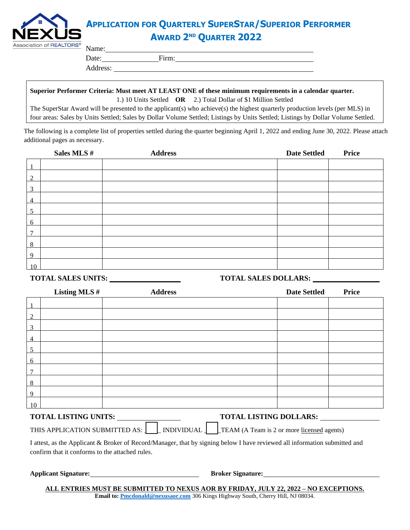

## **APPLICATION FOR QUARTERLY SUPERSTAR/SUPERIOR PERFORMER AWARD 2 ND QUARTER 2022**

| ້        | $\Gamma_{\rm rms}$ |  |
|----------|--------------------|--|
| Address: |                    |  |

**Superior Performer Criteria: Must meet AT LEAST ONE of these minimum requirements in a calendar quarter.** 

1.) 10 Units Settled **OR** 2.) Total Dollar of \$1 Million Settled

The SuperStar Award will be presented to the applicant(s) who achieve(s) the highest quarterly production levels (per MLS) in four areas: Sales by Units Settled; Sales by Dollar Volume Settled; Listings by Units Settled; Listings by Dollar Volume Settled.

The following is a complete list of properties settled during the quarter beginning April 1, 2022 and ending June 30, 2022. Please attach additional pages as necessary.

|                | Sales MLS # | <b>Address</b> | <b>Date Settled</b> | Price |
|----------------|-------------|----------------|---------------------|-------|
|                |             |                |                     |       |
| $\mathcal{D}$  |             |                |                     |       |
| 3              |             |                |                     |       |
| $\overline{4}$ |             |                |                     |       |
| 5              |             |                |                     |       |
| 6              |             |                |                     |       |
| $\mathcal{I}$  |             |                |                     |       |
| 8              |             |                |                     |       |
| 9              |             |                |                     |       |
| 10             |             |                |                     |       |

#### **TOTAL SALES UNITS: TOTAL SALES DOLLARS:**

|                | Listing MLS #                | <b>Address</b> | <b>Date Settled</b>           | <b>Price</b> |
|----------------|------------------------------|----------------|-------------------------------|--------------|
| $\mathbf{1}$   |                              |                |                               |              |
| $\overline{2}$ |                              |                |                               |              |
| $\overline{3}$ |                              |                |                               |              |
| $\overline{4}$ |                              |                |                               |              |
| $\overline{5}$ |                              |                |                               |              |
| 6              |                              |                |                               |              |
| 7              |                              |                |                               |              |
| 8              |                              |                |                               |              |
| 9              |                              |                |                               |              |
| 10             |                              |                |                               |              |
|                | <b>TOTAL LIGTIMO LIMITS.</b> |                | <b>TOTAL LIGTING DOLLADS.</b> |              |

| <b>TOTAL LISTING UNITS:</b> |  |
|-----------------------------|--|
|-----------------------------|--|

**TOTAL LISTING UNITS: TOTAL LISTING DOLLARS:**

THIS APPLICATION SUBMITTED AS:  $\Box$  INDIVIDUAL  $\Box$  TEAM (A Team is 2 or more licensed agents)

I attest, as the Applicant & Broker of Record/Manager, that by signing below I have reviewed all information submitted and confirm that it conforms to the attached rules.

**Applicant Signature: Broker Signature: Broker Signature: Broker Signature:** 

**ALL ENTRIES MUST BE SUBMITTED TO NEXUS AOR BY FRIDAY, JULY 22, 2022 – NO EXCEPTIONS. Email to: [Pmcdonald@nexusaor.com](mailto:Pmcdonald@nexusaor.com)** 306 Kings Highway South, Cherry Hill, NJ 08034.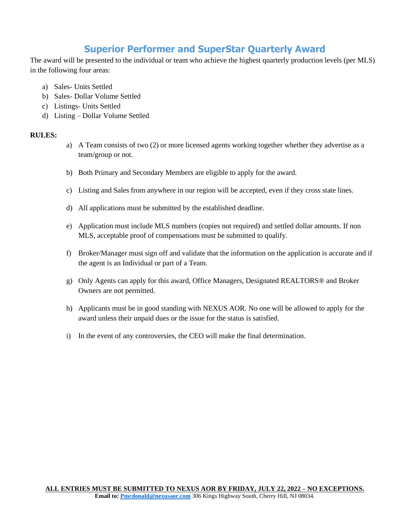### **Superior Performer and SuperStar Quarterly Award**

The award will be presented to the individual or team who achieve the highest quarterly production levels (per MLS) in the following four areas:

- a) Sales- Units Settled
- b) Sales- Dollar Volume Settled
- c) Listings- Units Settled
- d) Listing Dollar Volume Settled

#### **RULES:**

- a) A Team consists of two (2) or more licensed agents working together whether they advertise as a team/group or not.
- b) Both Primary and Secondary Members are eligible to apply for the award.
- c) Listing and Sales from anywhere in our region will be accepted, even if they cross state lines.
- d) All applications must be submitted by the established deadline.
- e) Application must include MLS numbers (copies not required) and settled dollar amounts. If non MLS, acceptable proof of compensations must be submitted to qualify.
- f) Broker/Manager must sign off and validate that the information on the application is accurate and if the agent is an Individual or part of a Team.
- g) Only Agents can apply for this award, Office Managers, Designated REALTORS® and Broker Owners are not permitted.
- h) Applicants must be in good standing with NEXUS AOR. No one will be allowed to apply for the award unless their unpaid dues or the issue for the status is satisfied.
- i) In the event of any controversies, the CEO will make the final determination.